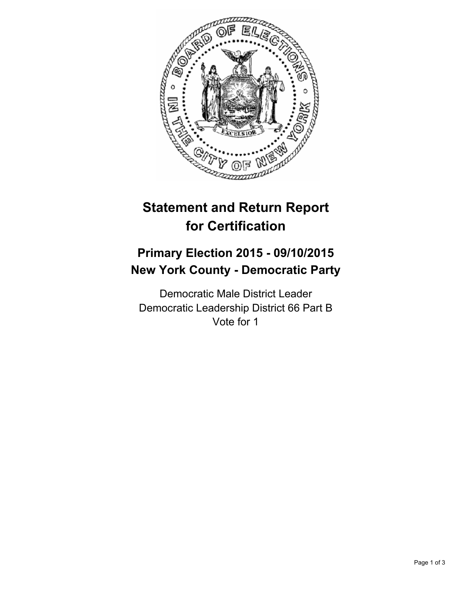

# **Statement and Return Report for Certification**

## **Primary Election 2015 - 09/10/2015 New York County - Democratic Party**

Democratic Male District Leader Democratic Leadership District 66 Part B Vote for 1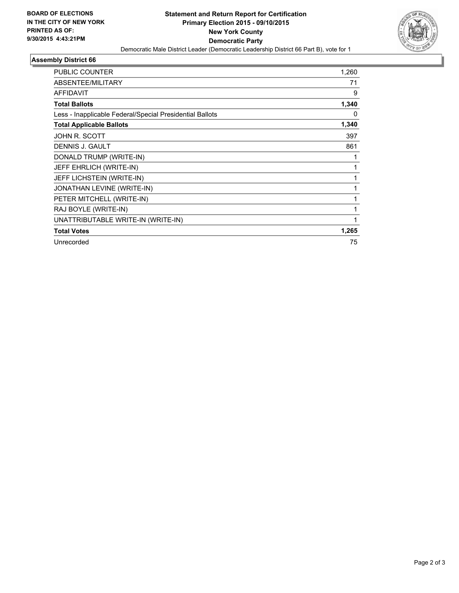

## **Assembly District 66**

| <b>PUBLIC COUNTER</b>                                    | 1,260 |
|----------------------------------------------------------|-------|
| ABSENTEE/MILITARY                                        | 71    |
| <b>AFFIDAVIT</b>                                         | 9     |
| <b>Total Ballots</b>                                     | 1,340 |
| Less - Inapplicable Federal/Special Presidential Ballots | 0     |
| <b>Total Applicable Ballots</b>                          | 1,340 |
| JOHN R. SCOTT                                            | 397   |
| <b>DENNIS J. GAULT</b>                                   | 861   |
| DONALD TRUMP (WRITE-IN)                                  |       |
| JEFF EHRLICH (WRITE-IN)                                  |       |
| JEFF LICHSTEIN (WRITE-IN)                                |       |
| JONATHAN LEVINE (WRITE-IN)                               |       |
| PETER MITCHELL (WRITE-IN)                                |       |
| RAJ BOYLE (WRITE-IN)                                     | 1     |
| UNATTRIBUTABLE WRITE-IN (WRITE-IN)                       |       |
| <b>Total Votes</b>                                       | 1,265 |
| Unrecorded                                               | 75    |